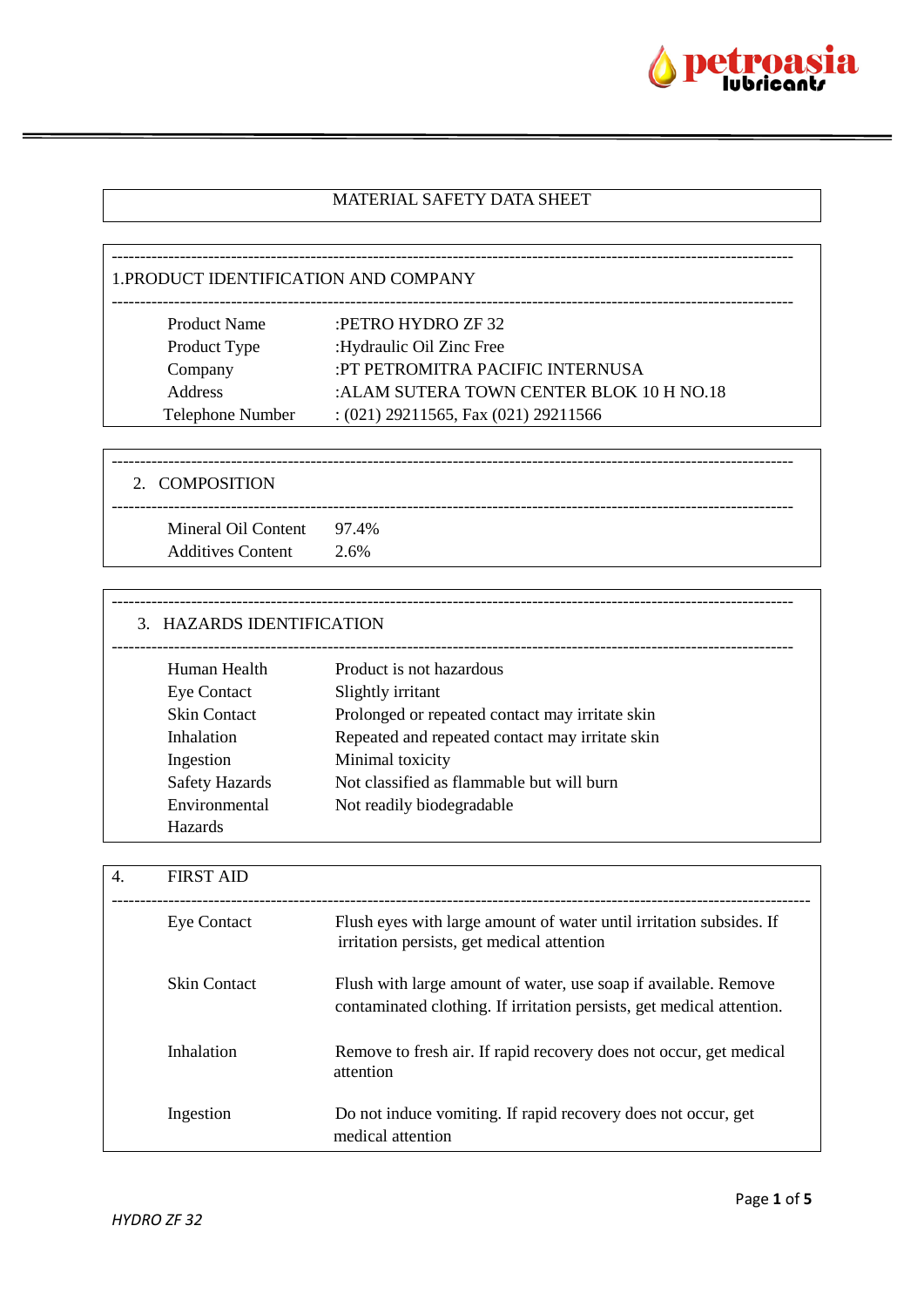

# MATERIAL SAFETY DATA SHEET

| 1. PRODUCT IDENTIFICATION AND COMPANY |                                           |  |
|---------------------------------------|-------------------------------------------|--|
| <b>Product Name</b>                   | :PETRO HYDRO ZF 32                        |  |
| Product Type                          | :Hydraulic Oil Zinc Free                  |  |
| Company                               | :PT PETROMITRA PACIFIC INTERNUSA          |  |
| <b>Address</b>                        | : ALAM SUTERA TOWN CENTER BLOK 10 H NO.18 |  |
| <b>Telephone Number</b>               | $:(021)$ 29211565, Fax $(021)$ 29211566   |  |
|                                       |                                           |  |

| 2. COMPOSITION                                        |      |
|-------------------------------------------------------|------|
| Mineral Oil Content 97.4%<br><b>Additives Content</b> | 2.6% |

| 3. HAZARDS IDENTIFICATION |                                                 |
|---------------------------|-------------------------------------------------|
| Human Health              | Product is not hazardous                        |
| Eye Contact               | Slightly irritant                               |
| <b>Skin Contact</b>       | Prolonged or repeated contact may irritate skin |
| Inhalation                | Repeated and repeated contact may irritate skin |
| Ingestion                 | Minimal toxicity                                |
| <b>Safety Hazards</b>     | Not classified as flammable but will burn       |
| Environmental             | Not readily biodegradable                       |
| <b>Hazards</b>            |                                                 |

| 4. | <b>FIRST AID</b> |                                                                                                                                          |
|----|------------------|------------------------------------------------------------------------------------------------------------------------------------------|
|    | Eye Contact      | Flush eyes with large amount of water until irritation subsides. If<br>irritation persists, get medical attention                        |
|    | Skin Contact     | Flush with large amount of water, use soap if available. Remove<br>contaminated clothing. If irritation persists, get medical attention. |
|    | Inhalation       | Remove to fresh air. If rapid recovery does not occur, get medical<br>attention                                                          |
|    | Ingestion        | Do not induce vomiting. If rapid recovery does not occur, get<br>medical attention                                                       |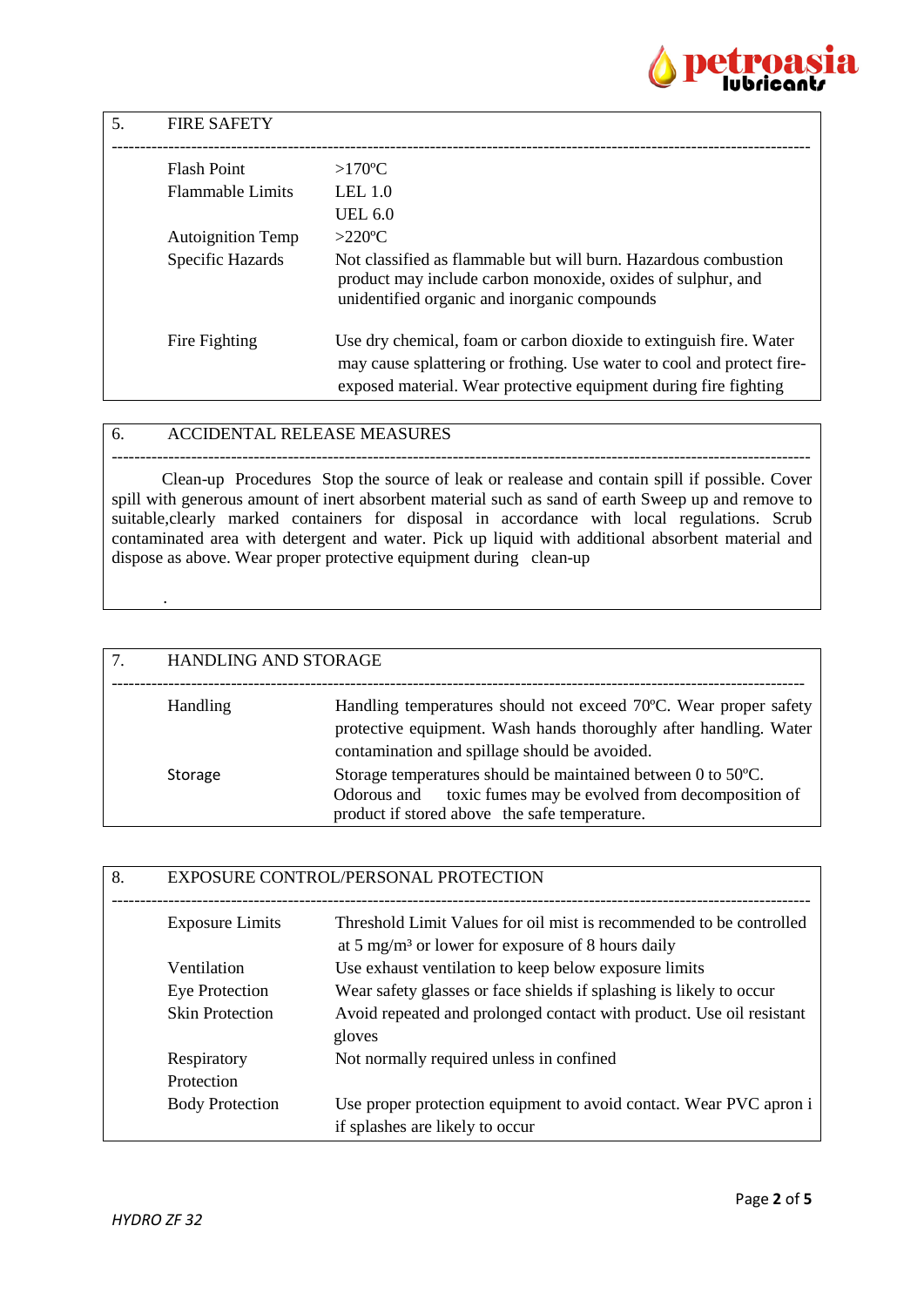

| 5. | <b>FIRE SAFETY</b>       |                                                                                                                                                                                                                  |
|----|--------------------------|------------------------------------------------------------------------------------------------------------------------------------------------------------------------------------------------------------------|
|    | Flash Point              | $>170^{\circ}$ C                                                                                                                                                                                                 |
|    | <b>Flammable Limits</b>  | LEL $1.0$                                                                                                                                                                                                        |
|    |                          | UEL 6.0                                                                                                                                                                                                          |
|    | <b>Autoignition Temp</b> | $>220$ °C                                                                                                                                                                                                        |
|    | Specific Hazards         | Not classified as flammable but will burn. Hazardous combustion<br>product may include carbon monoxide, oxides of sulphur, and<br>unidentified organic and inorganic compounds                                   |
|    | Fire Fighting            | Use dry chemical, foam or carbon dioxide to extinguish fire. Water<br>may cause splattering or frothing. Use water to cool and protect fire-<br>exposed material. Wear protective equipment during fire fighting |

## 6. ACCIDENTAL RELEASE MEASURES

--------------------------------------------------------------------------------------------------------------------------- Clean-up Procedures Stop the source of leak or realease and contain spill if possible. Cover spill with generous amount of inert absorbent material such as sand of earth Sweep up and remove to suitable,clearly marked containers for disposal in accordance with local regulations. Scrub contaminated area with detergent and water. Pick up liquid with additional absorbent material and dispose as above. Wear proper protective equipment during clean-up

| 7. | HANDLING AND STORAGE |                                                                                                                                                                                        |
|----|----------------------|----------------------------------------------------------------------------------------------------------------------------------------------------------------------------------------|
|    | Handling             | Handling temperatures should not exceed 70°C. Wear proper safety<br>protective equipment. Wash hands thoroughly after handling. Water<br>contamination and spillage should be avoided. |
|    | Storage              | Storage temperatures should be maintained between 0 to 50°C.<br>toxic fumes may be evolved from decomposition of<br>Odorous and<br>product if stored above the safe temperature.       |

| 8. |                        | EXPOSURE CONTROL/PERSONAL PROTECTION                                                                                                 |
|----|------------------------|--------------------------------------------------------------------------------------------------------------------------------------|
|    | <b>Exposure Limits</b> | Threshold Limit Values for oil mist is recommended to be controlled<br>at 5 mg/m <sup>3</sup> or lower for exposure of 8 hours daily |
|    | Ventilation            | Use exhaust ventilation to keep below exposure limits                                                                                |
|    | <b>Eye Protection</b>  | Wear safety glasses or face shields if splashing is likely to occur                                                                  |
|    | <b>Skin Protection</b> | Avoid repeated and prolonged contact with product. Use oil resistant<br>gloves                                                       |
|    | Respiratory            | Not normally required unless in confined                                                                                             |
|    | Protection             |                                                                                                                                      |
|    | <b>Body Protection</b> | Use proper protection equipment to avoid contact. Wear PVC apron i<br>if splashes are likely to occur                                |

.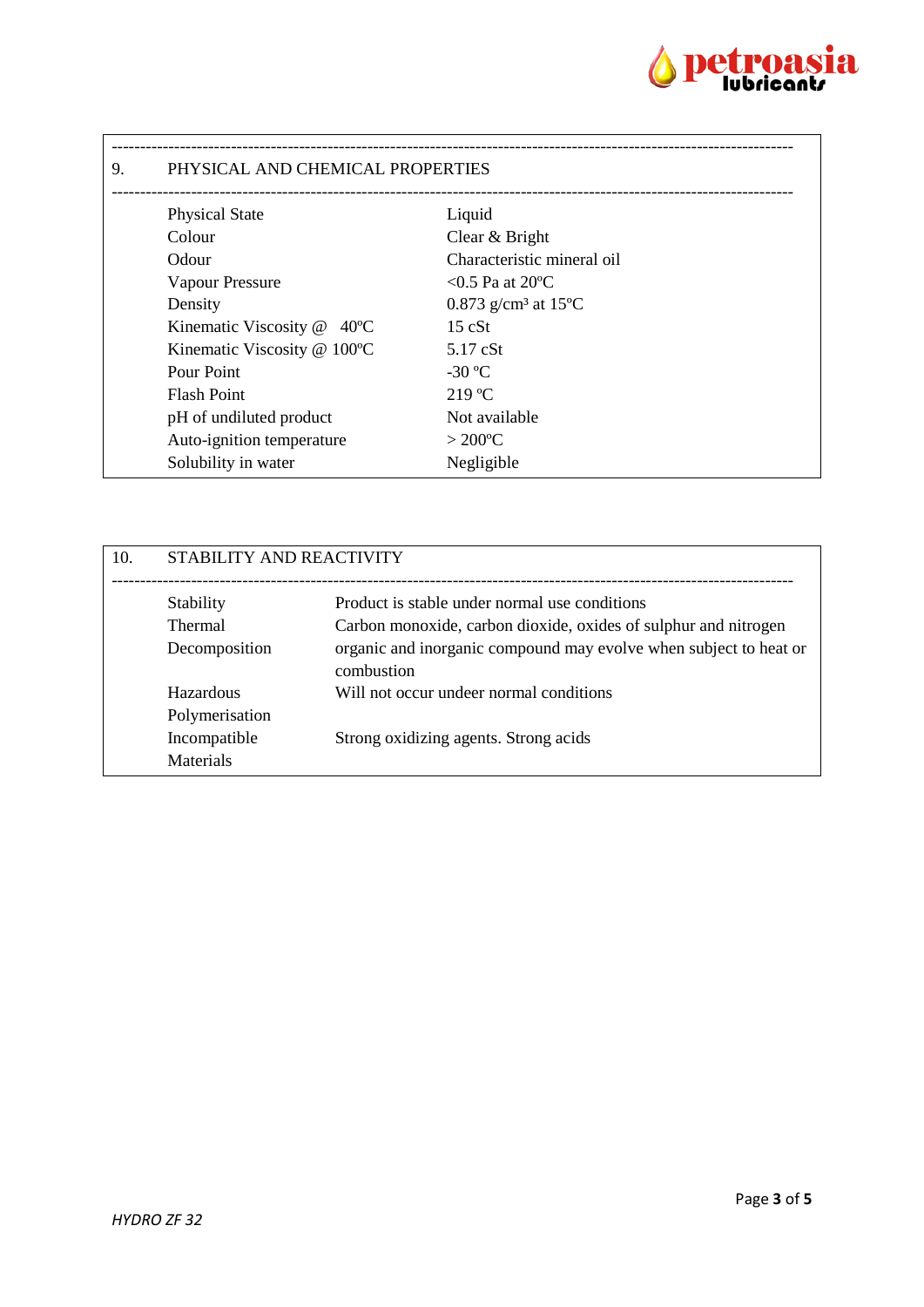

| 9. | PHYSICAL AND CHEMICAL PROPERTIES        |                                              |  |
|----|-----------------------------------------|----------------------------------------------|--|
|    | <b>Physical State</b>                   | Liquid                                       |  |
|    | Colour                                  | Clear & Bright                               |  |
|    | Odour                                   | Characteristic mineral oil                   |  |
|    | Vapour Pressure                         | $<$ 0.5 Pa at 20 $^{\circ}$ C                |  |
|    | Density                                 | 0.873 g/cm <sup>3</sup> at 15 <sup>o</sup> C |  |
|    | Kinematic Viscosity @<br>$40^{\circ}$ C | 15 cSt                                       |  |
|    | Kinematic Viscosity @ 100°C             | $5.17$ cSt                                   |  |
|    | Pour Point                              | $-30$ °C                                     |  |
|    | <b>Flash Point</b>                      | $219^{\circ}$ C                              |  |
|    | pH of undiluted product                 | Not available                                |  |
|    | Auto-ignition temperature               | $>200^{\circ}C$                              |  |
|    | Solubility in water                     | Negligible                                   |  |

| 10. | STABILITY AND REACTIVITY |                                                                                 |
|-----|--------------------------|---------------------------------------------------------------------------------|
|     | Stability                | Product is stable under normal use conditions                                   |
|     | <b>Thermal</b>           | Carbon monoxide, carbon dioxide, oxides of sulphur and nitrogen                 |
|     | Decomposition            | organic and inorganic compound may evolve when subject to heat or<br>combustion |
|     | Hazardous                | Will not occur undeer normal conditions                                         |
|     | Polymerisation           |                                                                                 |
|     | Incompatible             | Strong oxidizing agents. Strong acids                                           |
|     | <b>Materials</b>         |                                                                                 |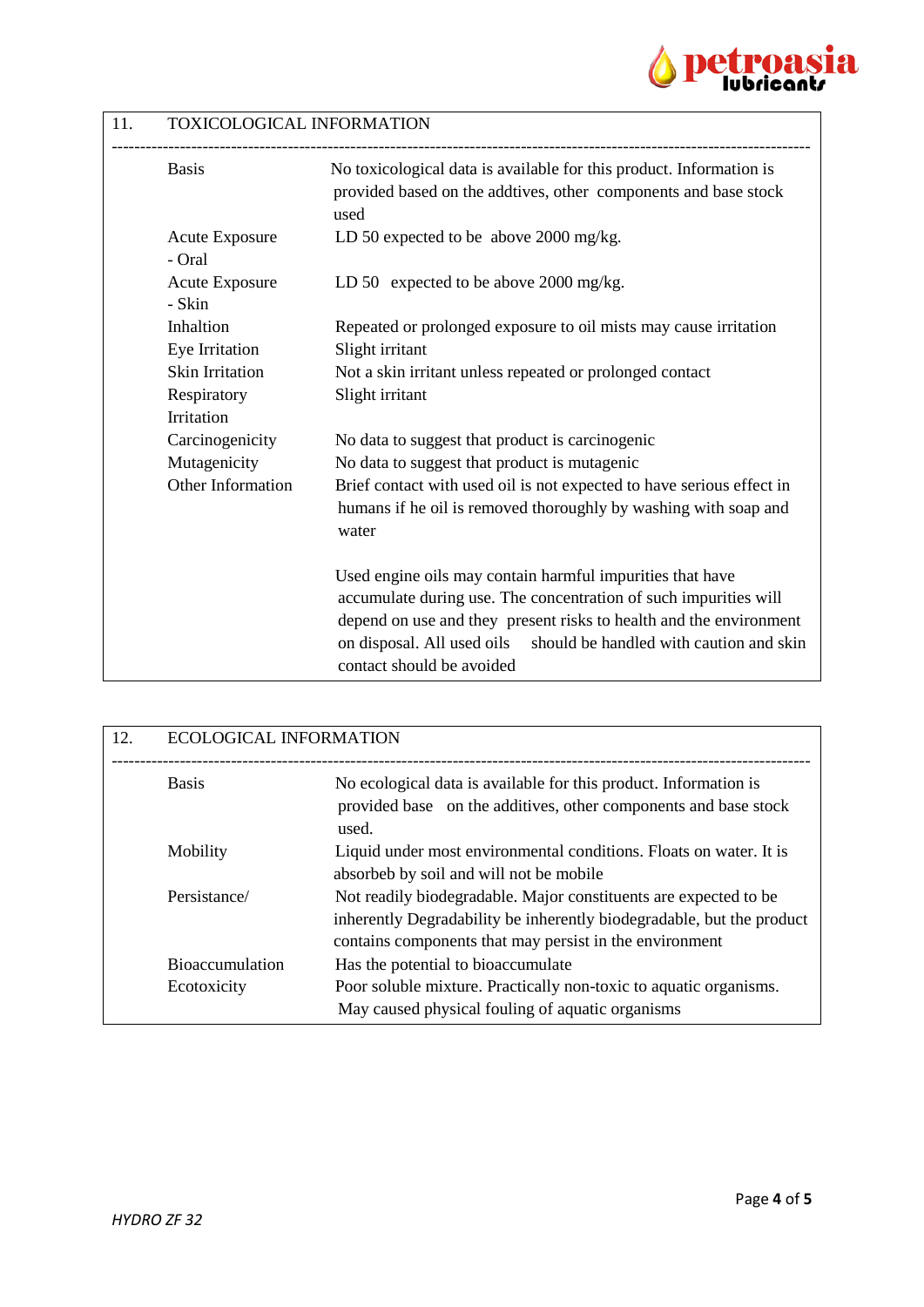

## 11. TOXICOLOGICAL INFORMATION

| <b>Basis</b>                    | No toxicological data is available for this product. Information is<br>provided based on the addtives, other components and base stock<br>used |
|---------------------------------|------------------------------------------------------------------------------------------------------------------------------------------------|
| <b>Acute Exposure</b><br>- Oral | LD 50 expected to be above 2000 mg/kg.                                                                                                         |
| <b>Acute Exposure</b><br>- Skin | LD 50 expected to be above 2000 mg/kg.                                                                                                         |
| Inhaltion                       | Repeated or prolonged exposure to oil mists may cause irritation                                                                               |
| Eye Irritation                  | Slight irritant                                                                                                                                |
| <b>Skin Irritation</b>          | Not a skin irritant unless repeated or prolonged contact                                                                                       |
| Respiratory                     | Slight irritant                                                                                                                                |
| Irritation                      |                                                                                                                                                |
| Carcinogenicity                 | No data to suggest that product is carcinogenic                                                                                                |
| Mutagenicity                    | No data to suggest that product is mutagenic                                                                                                   |
| Other Information               | Brief contact with used oil is not expected to have serious effect in                                                                          |
|                                 | humans if he oil is removed thoroughly by washing with soap and<br>water                                                                       |
|                                 | Used engine oils may contain harmful impurities that have                                                                                      |
|                                 | accumulate during use. The concentration of such impurities will                                                                               |
|                                 | depend on use and they present risks to health and the environment                                                                             |
|                                 | on disposal. All used oils<br>should be handled with caution and skin<br>contact should be avoided                                             |

| 12. | <b>ECOLOGICAL INFORMATION</b>         |                                                                                                                                                                                                      |
|-----|---------------------------------------|------------------------------------------------------------------------------------------------------------------------------------------------------------------------------------------------------|
|     | <b>Basis</b>                          | No ecological data is available for this product. Information is<br>provided base on the additives, other components and base stock<br>used.                                                         |
|     | Mobility                              | Liquid under most environmental conditions. Floats on water. It is<br>absorbeb by soil and will not be mobile                                                                                        |
|     | Persistance/                          | Not readily biodegradable. Major constituents are expected to be<br>inherently Degradability be inherently biodegradable, but the product<br>contains components that may persist in the environment |
|     | <b>Bioaccumulation</b><br>Ecotoxicity | Has the potential to bioaccumulate<br>Poor soluble mixture. Practically non-toxic to aquatic organisms.<br>May caused physical fouling of aquatic organisms                                          |